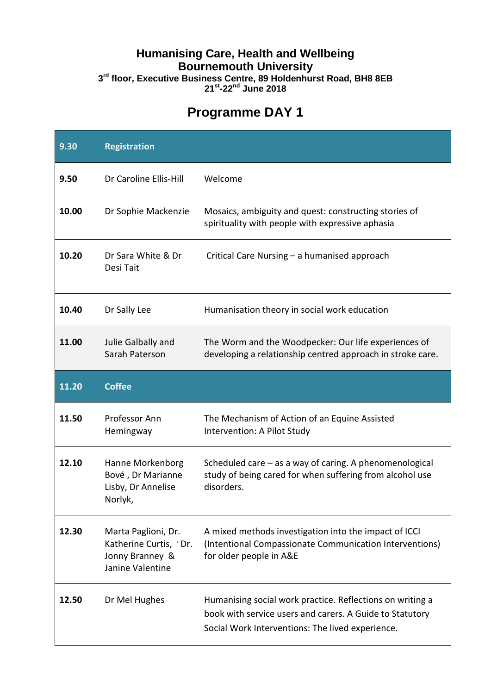### **Humanising Care, Health and Wellbeing Bournemouth University**

**3 rd floor, Executive Business Centre, 89 Holdenhurst Road, BH8 8EB 21 st -22nd June 2018**

# **Programme DAY 1**

| 9.30  | <b>Registration</b>                                                                  |                                                                                                                                             |
|-------|--------------------------------------------------------------------------------------|---------------------------------------------------------------------------------------------------------------------------------------------|
| 9.50  | Dr Caroline Ellis-Hill                                                               | Welcome                                                                                                                                     |
| 10.00 | Dr Sophie Mackenzie                                                                  | Mosaics, ambiguity and quest: constructing stories of<br>spirituality with people with expressive aphasia                                   |
| 10.20 | Dr Sara White & Dr<br>Desi Tait                                                      | Critical Care Nursing - a humanised approach                                                                                                |
| 10.40 | Dr Sally Lee                                                                         | Humanisation theory in social work education                                                                                                |
| 11.00 | Julie Galbally and<br>Sarah Paterson                                                 | The Worm and the Woodpecker: Our life experiences of<br>developing a relationship centred approach in stroke care.                          |
| 11.20 | <b>Coffee</b>                                                                        |                                                                                                                                             |
|       |                                                                                      |                                                                                                                                             |
| 11.50 | Professor Ann<br>Hemingway                                                           | The Mechanism of Action of an Equine Assisted<br>Intervention: A Pilot Study                                                                |
| 12.10 | Hanne Morkenborg<br>Bové, Dr Marianne<br>Lisby, Dr Annelise<br>Norlyk,               | Scheduled care $-$ as a way of caring. A phenomenological<br>study of being cared for when suffering from alcohol use<br>disorders.         |
| 12.30 | Marta Paglioni, Dr.<br>Katherine Curtis, 'Dr.<br>Jonny Branney &<br>Janine Valentine | A mixed methods investigation into the impact of ICCI<br>(Intentional Compassionate Communication Interventions)<br>for older people in A&E |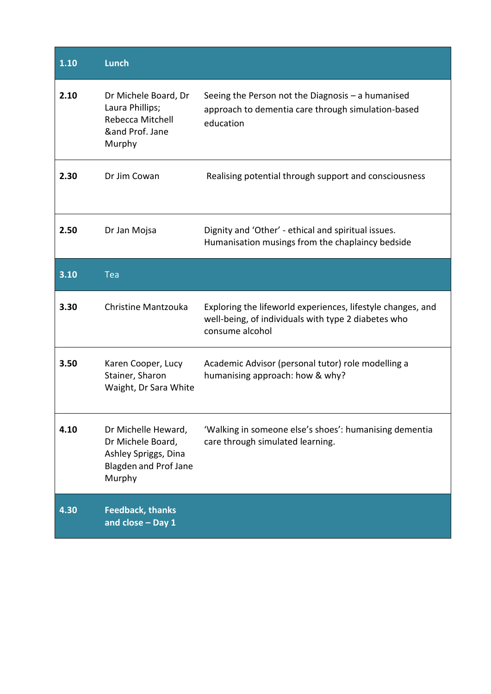| 1.10 | <b>Lunch</b>                                                                                        |                                                                                                                                       |
|------|-----------------------------------------------------------------------------------------------------|---------------------------------------------------------------------------------------------------------------------------------------|
| 2.10 | Dr Michele Board, Dr<br>Laura Phillips;<br>Rebecca Mitchell<br>∧ Prof. Jane<br>Murphy               | Seeing the Person not the Diagnosis $-$ a humanised<br>approach to dementia care through simulation-based<br>education                |
| 2.30 | Dr Jim Cowan                                                                                        | Realising potential through support and consciousness                                                                                 |
| 2.50 | Dr Jan Mojsa                                                                                        | Dignity and 'Other' - ethical and spiritual issues.<br>Humanisation musings from the chaplaincy bedside                               |
| 3.10 | <b>Tea</b>                                                                                          |                                                                                                                                       |
| 3.30 | Christine Mantzouka                                                                                 | Exploring the lifeworld experiences, lifestyle changes, and<br>well-being, of individuals with type 2 diabetes who<br>consume alcohol |
| 3.50 | Karen Cooper, Lucy<br>Stainer, Sharon<br>Waight, Dr Sara White                                      | Academic Advisor (personal tutor) role modelling a<br>humanising approach: how & why?                                                 |
| 4.10 | Dr Michelle Heward,<br>Dr Michele Board,<br>Ashley Spriggs, Dina<br>Blagden and Prof Jane<br>Murphy | 'Walking in someone else's shoes': humanising dementia<br>care through simulated learning.                                            |
| 4.30 | <b>Feedback, thanks</b><br>and close - Day 1                                                        |                                                                                                                                       |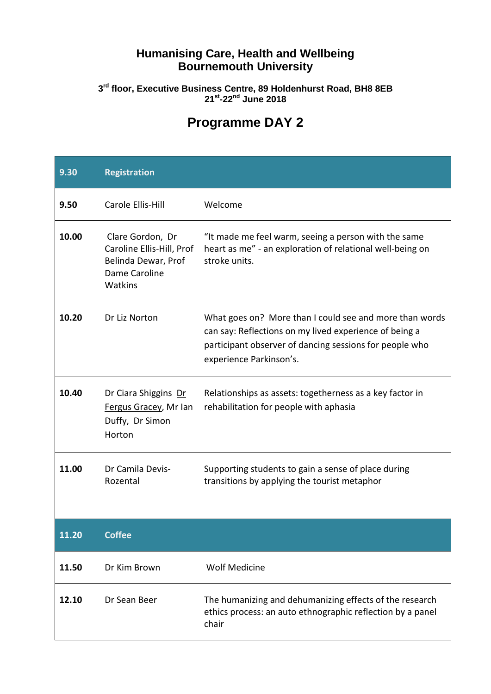### **Humanising Care, Health and Wellbeing Bournemouth University**

#### **3 rd floor, Executive Business Centre, 89 Holdenhurst Road, BH8 8EB 21st -22nd June 2018**

# **Programme DAY 2**

| 9.30  | <b>Registration</b>                                                                              |                                                                                                                                                                                                         |
|-------|--------------------------------------------------------------------------------------------------|---------------------------------------------------------------------------------------------------------------------------------------------------------------------------------------------------------|
| 9.50  | Carole Ellis-Hill                                                                                | Welcome                                                                                                                                                                                                 |
| 10.00 | Clare Gordon, Dr<br>Caroline Ellis-Hill, Prof<br>Belinda Dewar, Prof<br>Dame Caroline<br>Watkins | "It made me feel warm, seeing a person with the same<br>heart as me" - an exploration of relational well-being on<br>stroke units.                                                                      |
| 10.20 | Dr Liz Norton                                                                                    | What goes on? More than I could see and more than words<br>can say: Reflections on my lived experience of being a<br>participant observer of dancing sessions for people who<br>experience Parkinson's. |
| 10.40 | Dr Ciara Shiggins Dr<br>Fergus Gracey, Mr Ian<br>Duffy, Dr Simon<br>Horton                       | Relationships as assets: togetherness as a key factor in<br>rehabilitation for people with aphasia                                                                                                      |
| 11.00 | Dr Camila Devis-<br>Rozental                                                                     | Supporting students to gain a sense of place during<br>transitions by applying the tourist metaphor                                                                                                     |
| 11.20 | <b>Coffee</b>                                                                                    |                                                                                                                                                                                                         |
| 11.50 | Dr Kim Brown                                                                                     | <b>Wolf Medicine</b>                                                                                                                                                                                    |
| 12.10 | Dr Sean Beer                                                                                     | The humanizing and dehumanizing effects of the research<br>ethics process: an auto ethnographic reflection by a panel<br>chair                                                                          |